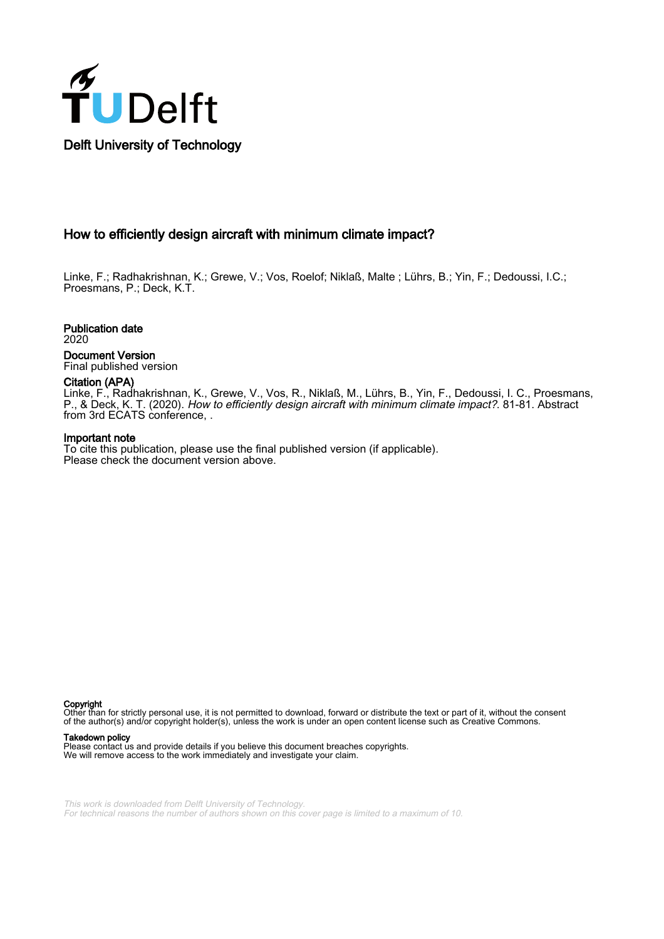

# How to efficiently design aircraft with minimum climate impact?

Linke, F.; Radhakrishnan, K.; Grewe, V.; Vos, Roelof; Niklaß, Malte ; Lührs, B.; Yin, F.; Dedoussi, I.C.; Proesmans, P.; Deck, K.T.

Publication date 2020

Document Version Final published version

### Citation (APA)

Linke, F., Radhakrishnan, K., Grewe, V., Vos, R., Niklaß, M., Lührs, B., Yin, F., Dedoussi, I. C., Proesmans, P., & Deck, K. T. (2020). How to efficiently design aircraft with minimum climate impact?. 81-81. Abstract from 3rd ECATS conference, .

#### Important note

To cite this publication, please use the final published version (if applicable). Please check the document version above.

Copyright

Other than for strictly personal use, it is not permitted to download, forward or distribute the text or part of it, without the consent of the author(s) and/or copyright holder(s), unless the work is under an open content license such as Creative Commons.

#### Takedown policy

Please contact us and provide details if you believe this document breaches copyrights. We will remove access to the work immediately and investigate your claim.

This work is downloaded from Delft University of Technology. For technical reasons the number of authors shown on this cover page is limited to a maximum of 10.